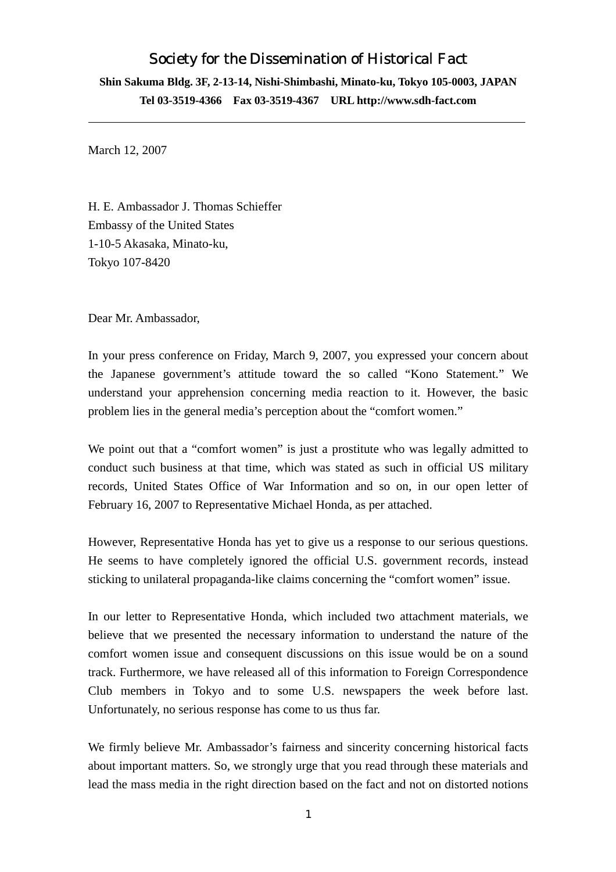## Society for the Dissemination of Historical Fact

**Shin Sakuma Bldg. 3F, 2-13-14, Nishi-Shimbashi, Minato-ku, Tokyo 105-0003, JAPAN Tel 03-3519-4366 Fax 03-3519-4367 URL http://www.sdh-fact.com** 

March 12, 2007

H. E. Ambassador J. Thomas Schieffer Embassy of the United States 1-10-5 Akasaka, Minato-ku, Tokyo 107-8420

Dear Mr. Ambassador,

In your press conference on Friday, March 9, 2007, you expressed your concern about the Japanese government's attitude toward the so called "Kono Statement." We understand your apprehension concerning media reaction to it. However, the basic problem lies in the general media's perception about the "comfort women."

We point out that a "comfort women" is just a prostitute who was legally admitted to conduct such business at that time, which was stated as such in official US military records, United States Office of War Information and so on, in our open letter of February 16, 2007 to Representative Michael Honda, as per attached.

However, Representative Honda has yet to give us a response to our serious questions. He seems to have completely ignored the official U.S. government records, instead sticking to unilateral propaganda-like claims concerning the "comfort women" issue.

In our letter to Representative Honda, which included two attachment materials, we believe that we presented the necessary information to understand the nature of the comfort women issue and consequent discussions on this issue would be on a sound track. Furthermore, we have released all of this information to Foreign Correspondence Club members in Tokyo and to some U.S. newspapers the week before last. Unfortunately, no serious response has come to us thus far.

We firmly believe Mr. Ambassador's fairness and sincerity concerning historical facts about important matters. So, we strongly urge that you read through these materials and lead the mass media in the right direction based on the fact and not on distorted notions